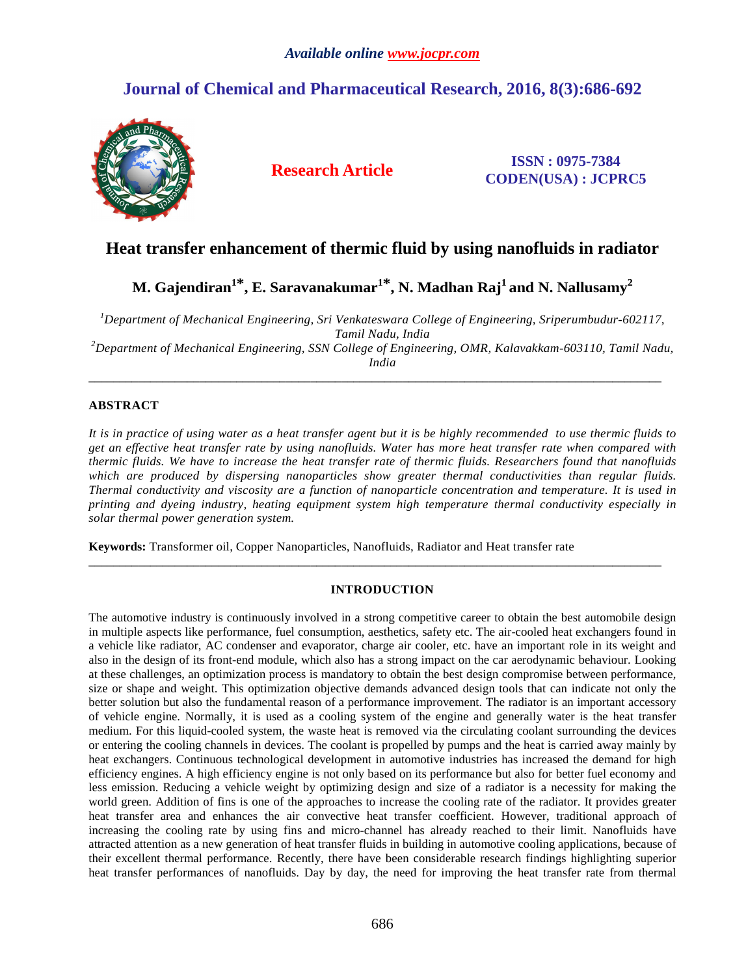# *Available online www.jocpr.com*

# **Journal of Chemical and Pharmaceutical Research, 2016, 8(3):686-692**



**Research Article ISSN : 0975-7384 CODEN(USA) : JCPRC5**

# **Heat transfer enhancement of thermic fluid by using nanofluids in radiator**

**M. Gajendiran<sup>1</sup>\*, E. Saravanakumar1\*, N. Madhan Raj<sup>1</sup>and N. Nallusamy<sup>2</sup>**

*<sup>1</sup>Department of Mechanical Engineering, Sri Venkateswara College of Engineering, Sriperumbudur-602117, Tamil Nadu, India <sup>2</sup>Department of Mechanical Engineering, SSN College of Engineering, OMR, Kalavakkam-603110, Tamil Nadu, India* 

\_\_\_\_\_\_\_\_\_\_\_\_\_\_\_\_\_\_\_\_\_\_\_\_\_\_\_\_\_\_\_\_\_\_\_\_\_\_\_\_\_\_\_\_\_\_\_\_\_\_\_\_\_\_\_\_\_\_\_\_\_\_\_\_\_\_\_\_\_\_\_\_\_\_\_\_\_\_\_\_\_\_\_\_\_\_\_\_\_\_\_\_\_

# **ABSTRACT**

*It is in practice of using water as a heat transfer agent but it is be highly recommended to use thermic fluids to get an effective heat transfer rate by using nanofluids. Water has more heat transfer rate when compared with thermic fluids. We have to increase the heat transfer rate of thermic fluids. Researchers found that nanofluids which are produced by dispersing nanoparticles show greater thermal conductivities than regular fluids. Thermal conductivity and viscosity are a function of nanoparticle concentration and temperature. It is used in printing and dyeing industry, heating equipment system high temperature thermal conductivity especially in solar thermal power generation system.* 

**Keywords:** Transformer oil, Copper Nanoparticles, Nanofluids, Radiator and Heat transfer rate

# **INTRODUCTION**

\_\_\_\_\_\_\_\_\_\_\_\_\_\_\_\_\_\_\_\_\_\_\_\_\_\_\_\_\_\_\_\_\_\_\_\_\_\_\_\_\_\_\_\_\_\_\_\_\_\_\_\_\_\_\_\_\_\_\_\_\_\_\_\_\_\_\_\_\_\_\_\_\_\_\_\_\_\_\_\_\_\_\_\_\_\_\_\_\_\_\_\_\_

The automotive industry is continuously involved in a strong competitive career to obtain the best automobile design in multiple aspects like performance, fuel consumption, aesthetics, safety etc. The air-cooled heat exchangers found in a vehicle like radiator, AC condenser and evaporator, charge air cooler, etc. have an important role in its weight and also in the design of its front-end module, which also has a strong impact on the car aerodynamic behaviour. Looking at these challenges, an optimization process is mandatory to obtain the best design compromise between performance, size or shape and weight. This optimization objective demands advanced design tools that can indicate not only the better solution but also the fundamental reason of a performance improvement. The radiator is an important accessory of vehicle engine. Normally, it is used as a cooling system of the engine and generally water is the heat transfer medium. For this liquid-cooled system, the waste heat is removed via the circulating coolant surrounding the devices or entering the cooling channels in devices. The coolant is propelled by pumps and the heat is carried away mainly by heat exchangers. Continuous technological development in automotive industries has increased the demand for high efficiency engines. A high efficiency engine is not only based on its performance but also for better fuel economy and less emission. Reducing a vehicle weight by optimizing design and size of a radiator is a necessity for making the world green. Addition of fins is one of the approaches to increase the cooling rate of the radiator. It provides greater heat transfer area and enhances the air convective heat transfer coefficient. However, traditional approach of increasing the cooling rate by using fins and micro-channel has already reached to their limit. Nanofluids have attracted attention as a new generation of heat transfer fluids in building in automotive cooling applications, because of their excellent thermal performance. Recently, there have been considerable research findings highlighting superior heat transfer performances of nanofluids. Day by day, the need for improving the heat transfer rate from thermal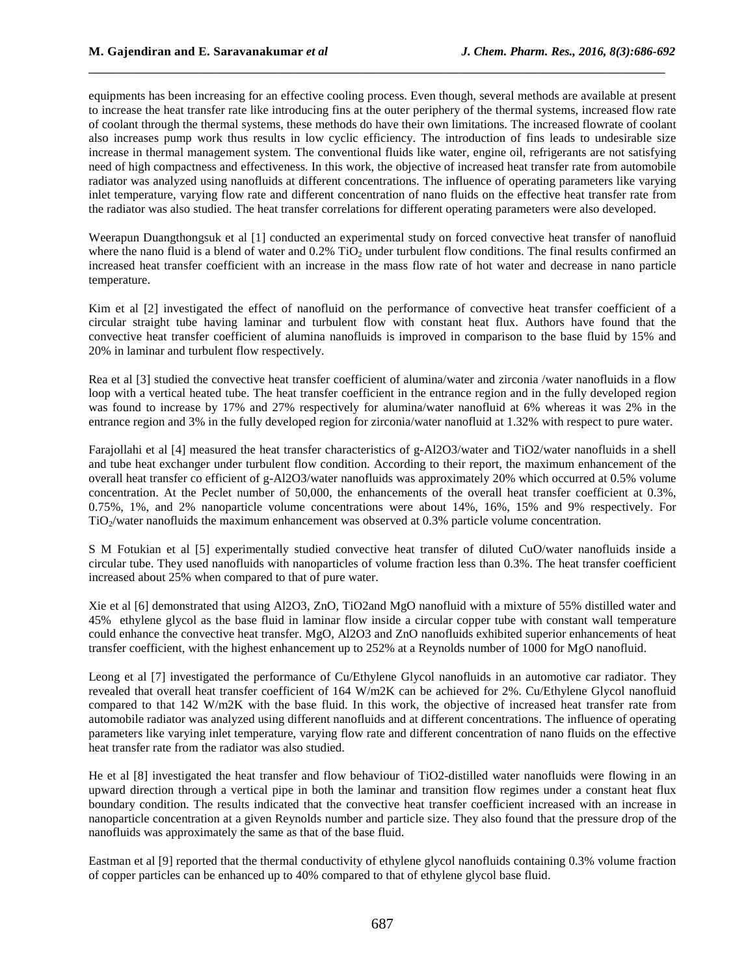equipments has been increasing for an effective cooling process. Even though, several methods are available at present to increase the heat transfer rate like introducing fins at the outer periphery of the thermal systems, increased flow rate of coolant through the thermal systems, these methods do have their own limitations. The increased flowrate of coolant also increases pump work thus results in low cyclic efficiency. The introduction of fins leads to undesirable size increase in thermal management system. The conventional fluids like water, engine oil, refrigerants are not satisfying need of high compactness and effectiveness. In this work, the objective of increased heat transfer rate from automobile radiator was analyzed using nanofluids at different concentrations. The influence of operating parameters like varying inlet temperature, varying flow rate and different concentration of nano fluids on the effective heat transfer rate from the radiator was also studied. The heat transfer correlations for different operating parameters were also developed.

\_\_\_\_\_\_\_\_\_\_\_\_\_\_\_\_\_\_\_\_\_\_\_\_\_\_\_\_\_\_\_\_\_\_\_\_\_\_\_\_\_\_\_\_\_\_\_\_\_\_\_\_\_\_\_\_\_\_\_\_\_\_\_\_\_\_\_\_\_\_\_\_\_\_\_\_\_\_

Weerapun Duangthongsuk et al [1] conducted an experimental study on forced convective heat transfer of nanofluid where the nano fluid is a blend of water and  $0.2\%$  TiO<sub>2</sub> under turbulent flow conditions. The final results confirmed an increased heat transfer coefficient with an increase in the mass flow rate of hot water and decrease in nano particle temperature.

Kim et al [2] investigated the effect of nanofluid on the performance of convective heat transfer coefficient of a circular straight tube having laminar and turbulent flow with constant heat flux. Authors have found that the convective heat transfer coefficient of alumina nanofluids is improved in comparison to the base fluid by 15% and 20% in laminar and turbulent flow respectively.

Rea et al [3] studied the convective heat transfer coefficient of alumina/water and zirconia /water nanofluids in a flow loop with a vertical heated tube. The heat transfer coefficient in the entrance region and in the fully developed region was found to increase by 17% and 27% respectively for alumina/water nanofluid at 6% whereas it was 2% in the entrance region and 3% in the fully developed region for zirconia/water nanofluid at 1.32% with respect to pure water.

Farajollahi et al [4] measured the heat transfer characteristics of g-Al2O3/water and TiO2/water nanofluids in a shell and tube heat exchanger under turbulent flow condition. According to their report, the maximum enhancement of the overall heat transfer co efficient of g-Al2O3/water nanofluids was approximately 20% which occurred at 0.5% volume concentration. At the Peclet number of 50,000, the enhancements of the overall heat transfer coefficient at 0.3%, 0.75%, 1%, and 2% nanoparticle volume concentrations were about 14%, 16%, 15% and 9% respectively. For  $TiO<sub>2</sub>/water nanofluids$  the maximum enhancement was observed at 0.3% particle volume concentration.

S M Fotukian et al [5] experimentally studied convective heat transfer of diluted CuO/water nanofluids inside a circular tube. They used nanofluids with nanoparticles of volume fraction less than 0.3%. The heat transfer coefficient increased about 25% when compared to that of pure water.

Xie et al [6] demonstrated that using Al2O3, ZnO, TiO2and MgO nanofluid with a mixture of 55% distilled water and 45% ethylene glycol as the base fluid in laminar flow inside a circular copper tube with constant wall temperature could enhance the convective heat transfer. MgO, Al2O3 and ZnO nanofluids exhibited superior enhancements of heat transfer coefficient, with the highest enhancement up to 252% at a Reynolds number of 1000 for MgO nanofluid.

Leong et al [7] investigated the performance of Cu/Ethylene Glycol nanofluids in an automotive car radiator. They revealed that overall heat transfer coefficient of 164 W/m2K can be achieved for 2%. Cu/Ethylene Glycol nanofluid compared to that 142 W/m2K with the base fluid. In this work, the objective of increased heat transfer rate from automobile radiator was analyzed using different nanofluids and at different concentrations. The influence of operating parameters like varying inlet temperature, varying flow rate and different concentration of nano fluids on the effective heat transfer rate from the radiator was also studied.

He et al [8] investigated the heat transfer and flow behaviour of TiO2-distilled water nanofluids were flowing in an upward direction through a vertical pipe in both the laminar and transition flow regimes under a constant heat flux boundary condition. The results indicated that the convective heat transfer coefficient increased with an increase in nanoparticle concentration at a given Reynolds number and particle size. They also found that the pressure drop of the nanofluids was approximately the same as that of the base fluid.

Eastman et al [9] reported that the thermal conductivity of ethylene glycol nanofluids containing 0.3% volume fraction of copper particles can be enhanced up to 40% compared to that of ethylene glycol base fluid.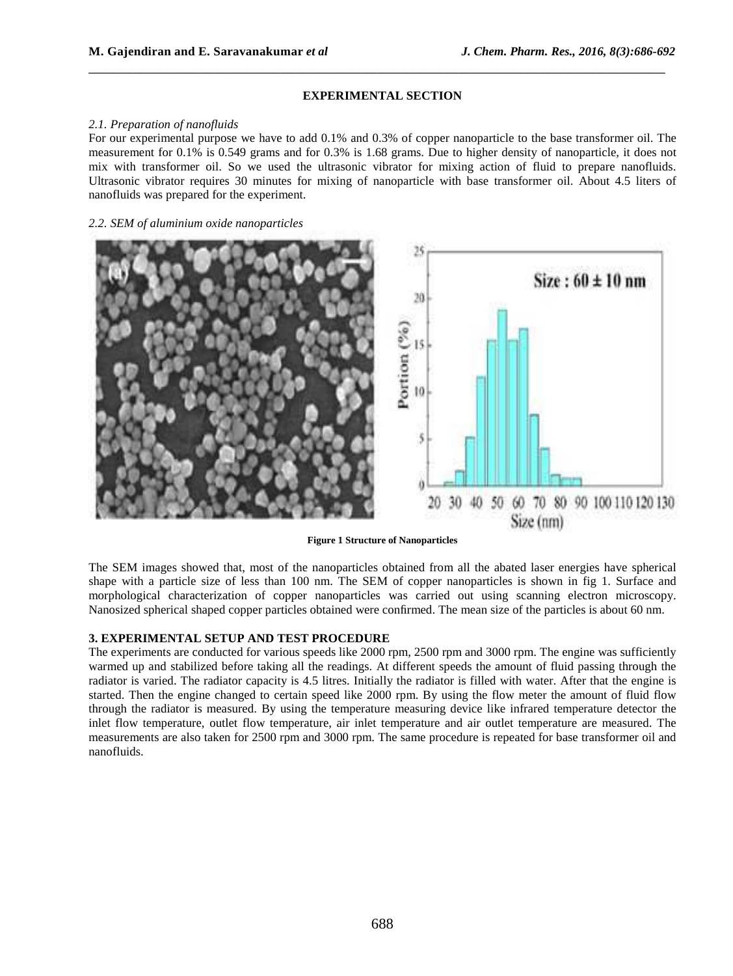# **EXPERIMENTAL SECTION**

\_\_\_\_\_\_\_\_\_\_\_\_\_\_\_\_\_\_\_\_\_\_\_\_\_\_\_\_\_\_\_\_\_\_\_\_\_\_\_\_\_\_\_\_\_\_\_\_\_\_\_\_\_\_\_\_\_\_\_\_\_\_\_\_\_\_\_\_\_\_\_\_\_\_\_\_\_\_

## *2.1. Preparation of nanofluids*

For our experimental purpose we have to add 0.1% and 0.3% of copper nanoparticle to the base transformer oil. The measurement for 0.1% is 0.549 grams and for 0.3% is 1.68 grams. Due to higher density of nanoparticle, it does not mix with transformer oil. So we used the ultrasonic vibrator for mixing action of fluid to prepare nanofluids. Ultrasonic vibrator requires 30 minutes for mixing of nanoparticle with base transformer oil. About 4.5 liters of nanofluids was prepared for the experiment.

## *2.2. SEM of aluminium oxide nanoparticles*



**Figure 1 Structure of Nanoparticles** 

The SEM images showed that, most of the nanoparticles obtained from all the abated laser energies have spherical shape with a particle size of less than 100 nm. The SEM of copper nanoparticles is shown in fig 1. Surface and morphological characterization of copper nanoparticles was carried out using scanning electron microscopy. Nanosized spherical shaped copper particles obtained were confirmed. The mean size of the particles is about 60 nm.

## **3. EXPERIMENTAL SETUP AND TEST PROCEDURE**

The experiments are conducted for various speeds like 2000 rpm, 2500 rpm and 3000 rpm. The engine was sufficiently warmed up and stabilized before taking all the readings. At different speeds the amount of fluid passing through the radiator is varied. The radiator capacity is 4.5 litres. Initially the radiator is filled with water. After that the engine is started. Then the engine changed to certain speed like 2000 rpm. By using the flow meter the amount of fluid flow through the radiator is measured. By using the temperature measuring device like infrared temperature detector the inlet flow temperature, outlet flow temperature, air inlet temperature and air outlet temperature are measured. The measurements are also taken for 2500 rpm and 3000 rpm. The same procedure is repeated for base transformer oil and nanofluids.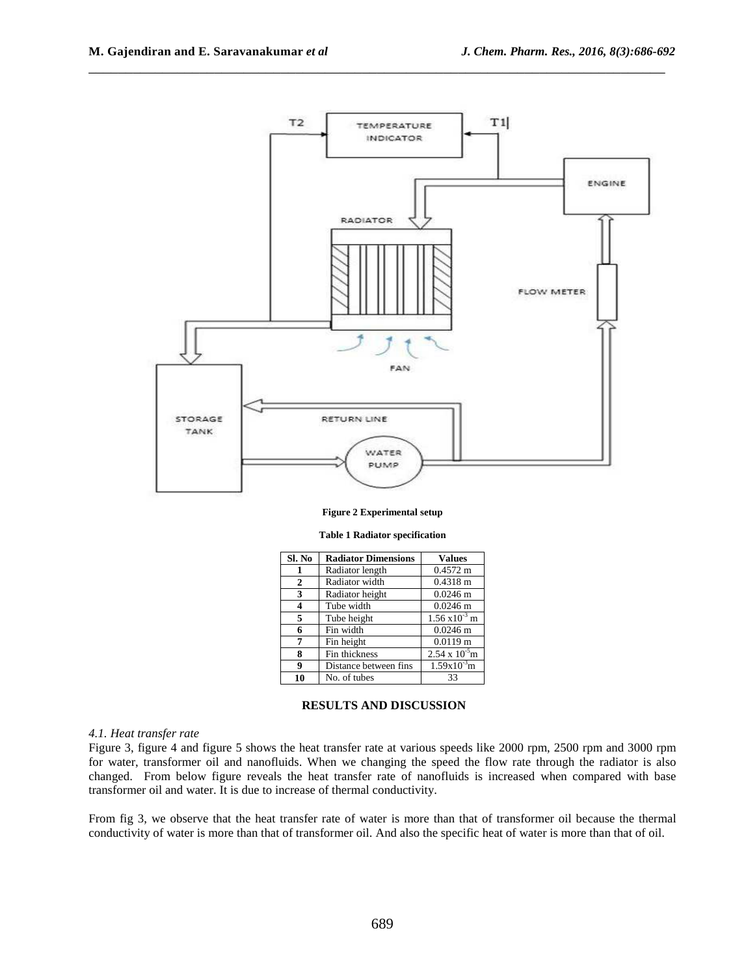

\_\_\_\_\_\_\_\_\_\_\_\_\_\_\_\_\_\_\_\_\_\_\_\_\_\_\_\_\_\_\_\_\_\_\_\_\_\_\_\_\_\_\_\_\_\_\_\_\_\_\_\_\_\_\_\_\_\_\_\_\_\_\_\_\_\_\_\_\_\_\_\_\_\_\_\_\_\_

#### **Figure 2 Experimental setup**

| Sl. No       | <b>Radiator Dimensions</b> | <b>Values</b>           |
|--------------|----------------------------|-------------------------|
| 1            | Radiator length            | $0.4572 \text{ m}$      |
| $\mathbf{2}$ | Radiator width             | $0.4318 \text{ m}$      |
| 3            | Radiator height            | $0.0246$ m              |
| 4            | Tube width                 | $0.0246$ m              |
| 5            | Tube height                | $1.56 \times 10^{-3}$ m |
| 6            | Fin width                  | $0.0246$ m              |
| 7            | Fin height                 | $0.0119 \text{ m}$      |
| 8            | Fin thickness              | $2.54 \times 10^{-5}$ m |
| 9            | Distance between fins      | $1.59x10^{3}m$          |
| 10           | No. of tubes               | 33                      |

#### **Table 1 Radiator specification**

#### **RESULTS AND DISCUSSION**

#### *4.1. Heat transfer rate*

Figure 3, figure 4 and figure 5 shows the heat transfer rate at various speeds like 2000 rpm, 2500 rpm and 3000 rpm for water, transformer oil and nanofluids. When we changing the speed the flow rate through the radiator is also changed. From below figure reveals the heat transfer rate of nanofluids is increased when compared with base transformer oil and water. It is due to increase of thermal conductivity.

From fig 3, we observe that the heat transfer rate of water is more than that of transformer oil because the thermal conductivity of water is more than that of transformer oil. And also the specific heat of water is more than that of oil.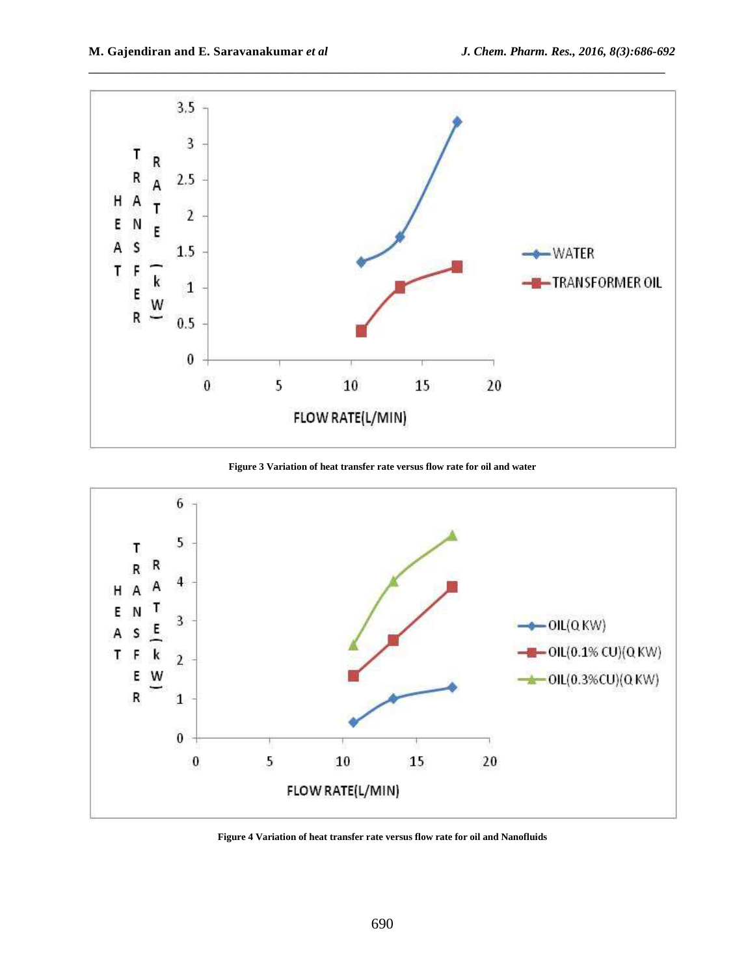

**Figure 3 Variation of heat transfer rate versus flow rate for oil and water** 



**Figure 4 Variation of heat transfer rate versus flow rate for oil and Nanofluids**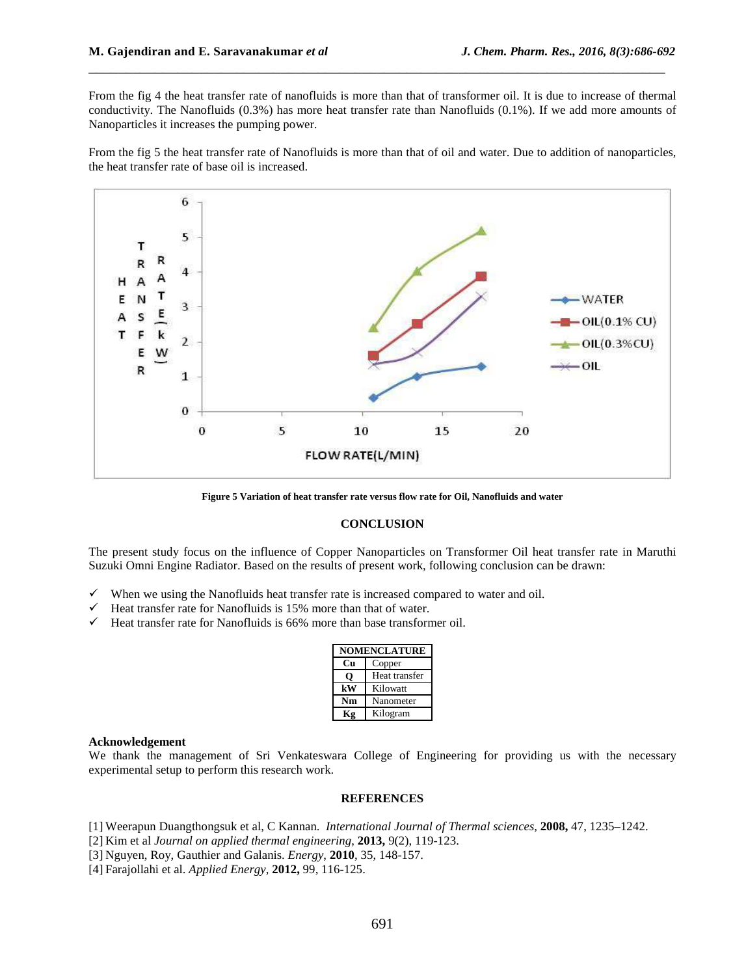From the fig 4 the heat transfer rate of nanofluids is more than that of transformer oil. It is due to increase of thermal conductivity. The Nanofluids (0.3%) has more heat transfer rate than Nanofluids (0.1%). If we add more amounts of Nanoparticles it increases the pumping power.

\_\_\_\_\_\_\_\_\_\_\_\_\_\_\_\_\_\_\_\_\_\_\_\_\_\_\_\_\_\_\_\_\_\_\_\_\_\_\_\_\_\_\_\_\_\_\_\_\_\_\_\_\_\_\_\_\_\_\_\_\_\_\_\_\_\_\_\_\_\_\_\_\_\_\_\_\_\_

From the fig 5 the heat transfer rate of Nanofluids is more than that of oil and water. Due to addition of nanoparticles, the heat transfer rate of base oil is increased.



**Figure 5 Variation of heat transfer rate versus flow rate for Oil, Nanofluids and water** 

# **CONCLUSION**

The present study focus on the influence of Copper Nanoparticles on Transformer Oil heat transfer rate in Maruthi Suzuki Omni Engine Radiator. Based on the results of present work, following conclusion can be drawn:

- $\checkmark$  When we using the Nanofluids heat transfer rate is increased compared to water and oil.
- $\checkmark$  Heat transfer rate for Nanofluids is 15% more than that of water.
- $\checkmark$  Heat transfer rate for Nanofluids is 66% more than base transformer oil.

| <b>NOMENCLATURE</b> |               |  |
|---------------------|---------------|--|
| Cп                  | Copper        |  |
|                     | Heat transfer |  |
| kW                  | Kilowatt      |  |
| Nm                  | Nanometer     |  |
|                     | Kilogram      |  |

#### **Acknowledgement**

We thank the management of Sri Venkateswara College of Engineering for providing us with the necessary experimental setup to perform this research work.

### **REFERENCES**

- [1] Weerapun Duangthongsuk et al, C Kannan. *International Journal of Thermal sciences,* **2008,** 47, 1235–1242.
- [2] Kim et al *Journal on applied thermal engineering*, **2013,** 9(2), 119-123.
- [3] Nguyen, Roy, Gauthier and Galanis. *Energy*, **2010**, 35, 148-157.
- [4] Farajollahi et al. *Applied Energy*, **2012,** 99, 116-125.